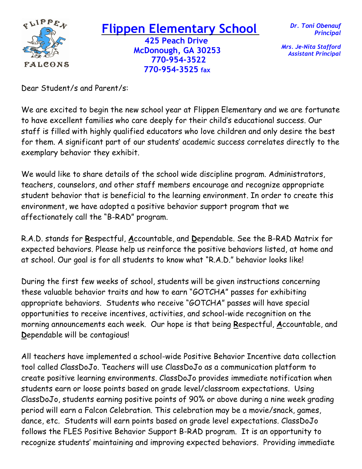

## **Flippen El Flippen Elementary School**

 **425 Peach Drive McDonough, GA 30253 FALCONS** 770-954-3522  **770-954-3525 fax** 

*Dr. Toni Obenauf Principal*

*Mrs. Je-Nita Stafford Assistant Principal*

Dear Student/s and Parent/s:

We are excited to begin the new school year at Flippen Elementary and we are fortunate to have excellent families who care deeply for their child's educational success. Our staff is filled with highly qualified educators who love children and only desire the best for them. A significant part of our students' academic success correlates directly to the exemplary behavior they exhibit.

We would like to share details of the school wide discipline program. Administrators, teachers, counselors, and other staff members encourage and recognize appropriate student behavior that is beneficial to the learning environment. In order to create this environment, we have adopted a positive behavior support program that we affectionately call the "B-RAD" program.

R.A.D. stands for **R**espectful, **A**ccountable, and **D**ependable. See the B-RAD Matrix for expected behaviors. Please help us reinforce the positive behaviors listed, at home and at school. Our goal is for all students to know what "R.A.D." behavior looks like!

During the first few weeks of school, students will be given instructions concerning these valuable behavior traits and how to earn "GOTCHA" passes for exhibiting appropriate behaviors. Students who receive "GOTCHA" passes will have special opportunities to receive incentives, activities, and school-wide recognition on the morning announcements each week. Our hope is that being **R**espectful, **A**ccountable, and **D**ependable will be contagious!

All teachers have implemented a school-wide Positive Behavior Incentive data collection tool called ClassDoJo. Teachers will use ClassDoJo as a communication platform to create positive learning environments. ClassDoJo provides immediate notification when students earn or loose points based on grade level/classroom expectations. Using ClassDoJo, students earning positive points of 90% or above during a nine week grading period will earn a Falcon Celebration. This celebration may be a movie/snack, games, dance, etc. Students will earn points based on grade level expectations. ClassDoJo follows the FLES Positive Behavior Support B-RAD program. It is an opportunity to recognize students' maintaining and improving expected behaviors. Providing immediate